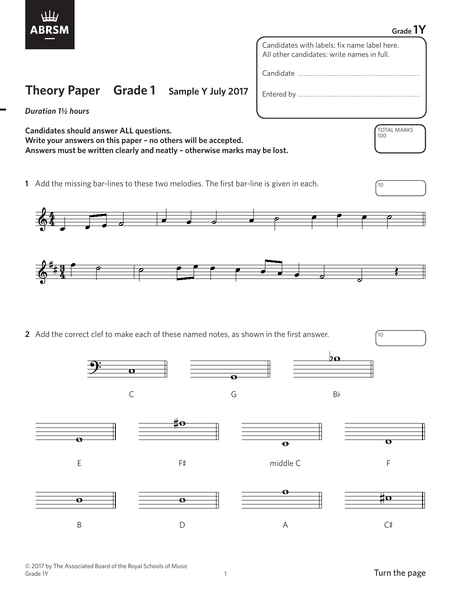

## **Grade 1Y**

TOTAL MARKS

100

Candidates with labels: fix name label here. All other candidates: write names in full.

Candidate …………………………………………………………

Entered by …………………………………………………………

*Duration 1½ hours*

**Candidates should answer ALL questions. Write your answers on this paper – no others will be accepted. Answers must be written clearly and neatly – otherwise marks may be lost.**

**Theory Paper Grade 1 Sample Y July 2017**

**1** Add the missing bar-lines to these two melodies. The first bar-line is given in each.  $\sqrt{10}$ 



**2** Add the correct clef to make each of these named notes, as shown in the first answer.

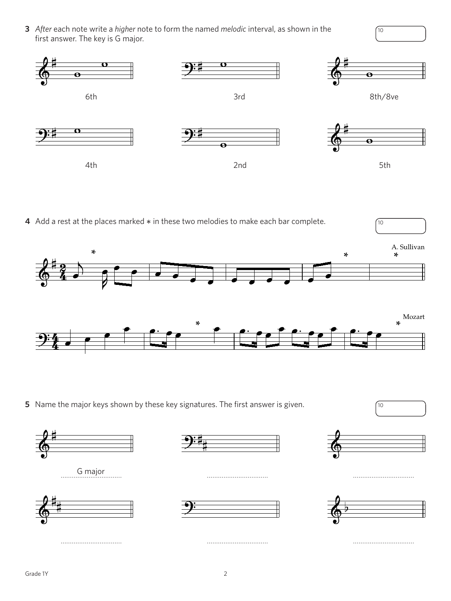**3** *After* each note write a *higher* note to form the named *melodic* interval, as shown in the first answer. The key is G major.



**4** Add a rest at the places marked  $*$  in these two melodies to make each bar complete.  $\sqrt{10}$ 



**5** Name the major keys shown by these key signatures. The first answer is given.  $\sqrt{10}$ 



10



…………………………… …………………………… ……………………………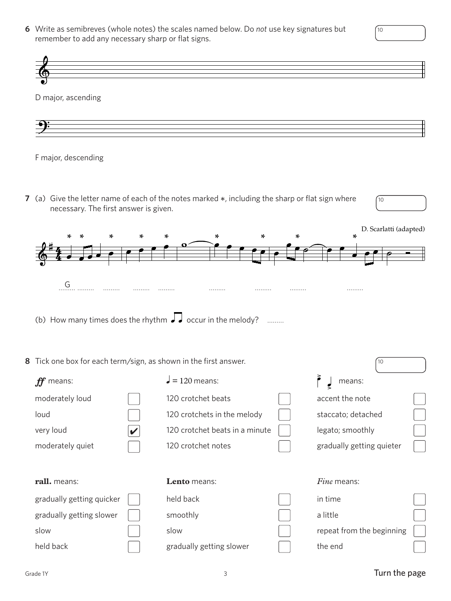**6** Write as semibreves (whole notes) the scales named below. Do *not* use key signatures but remember to add any necessary sharp or flat signs.

D major, ascending



F major, descending F major, descending

**7** (a) Give the letter name of each of the notes marked \*, including the sharp or flat sign where necessary. The first answer is given.



| * * | $*$<br>∗<br>$\ast$ | ×. | ∗      | D. Scarlatti<br>ed<br>∗ |  |
|-----|--------------------|----|--------|-------------------------|--|
|     |                    |    |        |                         |  |
| .   | .<br>.<br>.        | .  | .<br>. | .                       |  |

(b) How many times does the rhythm  $\sqrt{\phantom{a}}$  occur in the melody? ………

## **8** Tick one box for each term/sign, as shown in the first answer.

| means:<br>.ff*            | $\vert$ = 120 means:           | means:                    |  |
|---------------------------|--------------------------------|---------------------------|--|
| moderately loud           | 120 crotchet beats             | accent the note           |  |
| loud                      | 120 crotchets in the melody    | staccato; detached        |  |
| very loud                 | 120 crotchet beats in a minute | legato; smoothly          |  |
| moderately quiet          | 120 crotchet notes             | gradually getting quieter |  |
|                           |                                |                           |  |
| rall. means:              |                                |                           |  |
|                           | Lento means:                   | <i>Fine</i> means:        |  |
| gradually getting quicker | held back                      | in time                   |  |
| gradually getting slower  | smoothly                       | a little                  |  |
| slow                      | slow                           | repeat from the beginning |  |